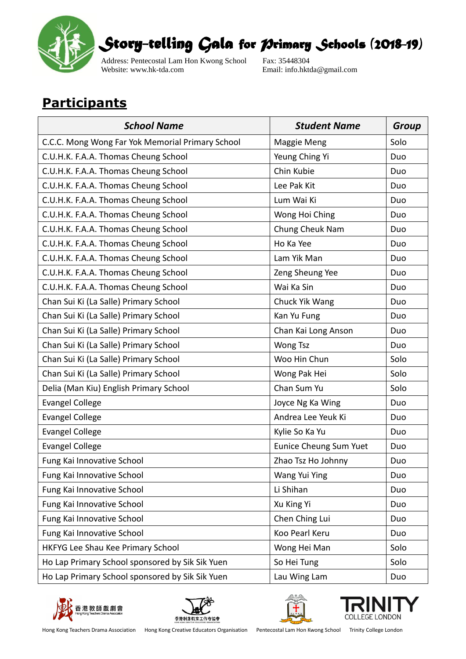

Address: Pentecostal Lam Hon Kwong School Fax: 35448304<br>Website: www.hk-tda.com Email: info.hkt

Email: info.hktda@gmail.com

## **Participants**

| <b>School Name</b>                               | <b>Student Name</b>    | <b>Group</b> |
|--------------------------------------------------|------------------------|--------------|
| C.C.C. Mong Wong Far Yok Memorial Primary School | Maggie Meng            | Solo         |
| C.U.H.K. F.A.A. Thomas Cheung School             | Yeung Ching Yi         | Duo          |
| C.U.H.K. F.A.A. Thomas Cheung School             | Chin Kubie             | Duo          |
| C.U.H.K. F.A.A. Thomas Cheung School             | Lee Pak Kit            | Duo          |
| C.U.H.K. F.A.A. Thomas Cheung School             | Lum Wai Ki             | Duo          |
| C.U.H.K. F.A.A. Thomas Cheung School             | Wong Hoi Ching         | Duo          |
| C.U.H.K. F.A.A. Thomas Cheung School             | Chung Cheuk Nam        | Duo          |
| C.U.H.K. F.A.A. Thomas Cheung School             | Ho Ka Yee              | Duo          |
| C.U.H.K. F.A.A. Thomas Cheung School             | Lam Yik Man            | Duo          |
| C.U.H.K. F.A.A. Thomas Cheung School             | Zeng Sheung Yee        | Duo          |
| C.U.H.K. F.A.A. Thomas Cheung School             | Wai Ka Sin             | Duo          |
| Chan Sui Ki (La Salle) Primary School            | Chuck Yik Wang         | Duo          |
| Chan Sui Ki (La Salle) Primary School            | Kan Yu Fung            | Duo          |
| Chan Sui Ki (La Salle) Primary School            | Chan Kai Long Anson    | Duo          |
| Chan Sui Ki (La Salle) Primary School            | <b>Wong Tsz</b>        | Duo          |
| Chan Sui Ki (La Salle) Primary School            | Woo Hin Chun           | Solo         |
| Chan Sui Ki (La Salle) Primary School            | Wong Pak Hei           | Solo         |
| Delia (Man Kiu) English Primary School           | Chan Sum Yu            | Solo         |
| <b>Evangel College</b>                           | Joyce Ng Ka Wing       | Duo          |
| <b>Evangel College</b>                           | Andrea Lee Yeuk Ki     | Duo          |
| <b>Evangel College</b>                           | Kylie So Ka Yu         | Duo          |
| <b>Evangel College</b>                           | Eunice Cheung Sum Yuet | Duo          |
| Fung Kai Innovative School                       | Zhao Tsz Ho Johnny     | Duo          |
| Fung Kai Innovative School                       | Wang Yui Ying          | Duo          |
| Fung Kai Innovative School                       | Li Shihan              | Duo          |
| Fung Kai Innovative School                       | Xu King Yi             | Duo          |
| Fung Kai Innovative School                       | Chen Ching Lui         | Duo          |
| Fung Kai Innovative School                       | Koo Pearl Keru         | Duo          |
| HKFYG Lee Shau Kee Primary School                | Wong Hei Man           | Solo         |
| Ho Lap Primary School sponsored by Sik Sik Yuen  | So Hei Tung            | Solo         |
| Ho Lap Primary School sponsored by Sik Sik Yuen  | Lau Wing Lam           | Duo          |









Hong Kong Teachers Drama Association Hong Kong Creative Educators Organisation Pentecostal Lam Hon Kwong School Trinity College London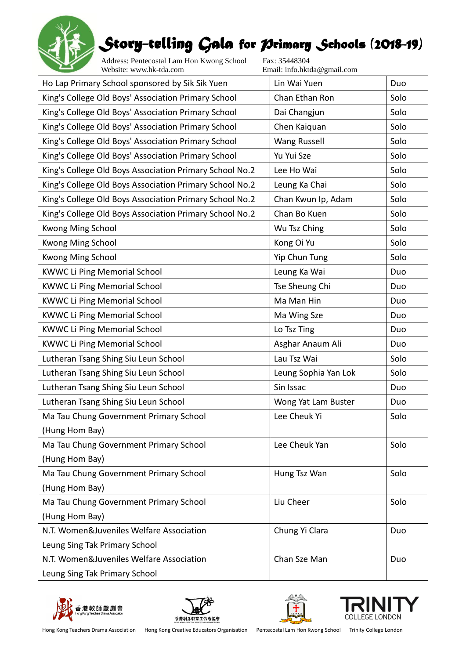

Address: Pentecostal Lam Hon Kwong School Fax: 35448304<br>Website: www.hk-tda.com Email: info.hkt

Email: info.hktda@gmail.com

| Ho Lap Primary School sponsored by Sik Sik Yuen         | Lin Wai Yuen         | Duo  |
|---------------------------------------------------------|----------------------|------|
| King's College Old Boys' Association Primary School     | Chan Ethan Ron       | Solo |
| King's College Old Boys' Association Primary School     | Dai Changjun         | Solo |
| King's College Old Boys' Association Primary School     | Chen Kaiquan         | Solo |
| King's College Old Boys' Association Primary School     | <b>Wang Russell</b>  | Solo |
| King's College Old Boys' Association Primary School     | Yu Yui Sze           | Solo |
| King's College Old Boys Association Primary School No.2 | Lee Ho Wai           | Solo |
| King's College Old Boys Association Primary School No.2 | Leung Ka Chai        | Solo |
| King's College Old Boys Association Primary School No.2 | Chan Kwun Ip, Adam   | Solo |
| King's College Old Boys Association Primary School No.2 | Chan Bo Kuen         | Solo |
| Kwong Ming School                                       | Wu Tsz Ching         | Solo |
| Kwong Ming School                                       | Kong Oi Yu           | Solo |
| Kwong Ming School                                       | Yip Chun Tung        | Solo |
| <b>KWWC Li Ping Memorial School</b>                     | Leung Ka Wai         | Duo  |
| <b>KWWC Li Ping Memorial School</b>                     | Tse Sheung Chi       | Duo  |
| <b>KWWC Li Ping Memorial School</b>                     | Ma Man Hin           | Duo  |
| <b>KWWC Li Ping Memorial School</b>                     | Ma Wing Sze          | Duo  |
| <b>KWWC Li Ping Memorial School</b>                     | Lo Tsz Ting          | Duo  |
| <b>KWWC Li Ping Memorial School</b>                     | Asghar Anaum Ali     | Duo  |
| Lutheran Tsang Shing Siu Leun School                    | Lau Tsz Wai          | Solo |
| Lutheran Tsang Shing Siu Leun School                    | Leung Sophia Yan Lok | Solo |
| Lutheran Tsang Shing Siu Leun School                    | Sin Issac            | Duo  |
| Lutheran Tsang Shing Siu Leun School                    | Wong Yat Lam Buster  | Duo  |
| Ma Tau Chung Government Primary School                  | Lee Cheuk Yi         | Solo |
| (Hung Hom Bay)                                          |                      |      |
| Ma Tau Chung Government Primary School                  | Lee Cheuk Yan        | Solo |
| (Hung Hom Bay)                                          |                      |      |
| Ma Tau Chung Government Primary School                  | Hung Tsz Wan         | Solo |
| (Hung Hom Bay)                                          |                      |      |
| Ma Tau Chung Government Primary School                  | Liu Cheer            | Solo |
| (Hung Hom Bay)                                          |                      |      |
| N.T. Women&Juveniles Welfare Association                | Chung Yi Clara       | Duo  |
| Leung Sing Tak Primary School                           |                      |      |
| N.T. Women&Juveniles Welfare Association                | Chan Sze Man         | Duo  |
| Leung Sing Tak Primary School                           |                      |      |







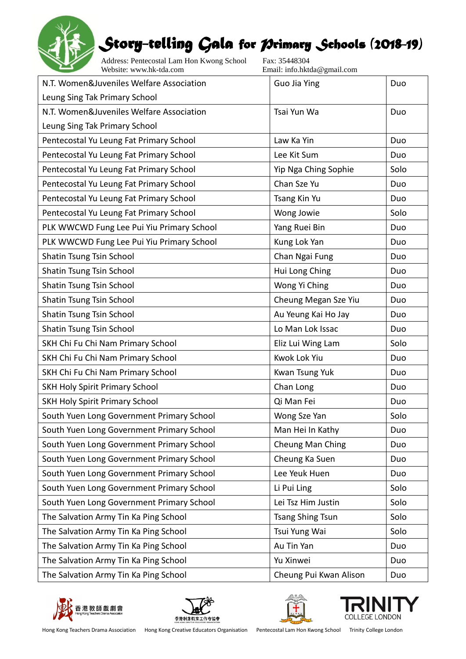

Address: Pentecostal Lam Hon Kwong School Fax: 35448304<br>Website: www.hk-tda.com Email: info.hkt

Email: info.hktda@gmail.com

| N.T. Women&Juveniles Welfare Association  | Guo Jia Ying            | Duo  |
|-------------------------------------------|-------------------------|------|
| Leung Sing Tak Primary School             |                         |      |
| N.T. Women&Juveniles Welfare Association  | Tsai Yun Wa             | Duo  |
| Leung Sing Tak Primary School             |                         |      |
| Pentecostal Yu Leung Fat Primary School   | Law Ka Yin              | Duo  |
| Pentecostal Yu Leung Fat Primary School   | Lee Kit Sum             | Duo  |
| Pentecostal Yu Leung Fat Primary School   | Yip Nga Ching Sophie    | Solo |
| Pentecostal Yu Leung Fat Primary School   | Chan Sze Yu             | Duo  |
| Pentecostal Yu Leung Fat Primary School   | Tsang Kin Yu            | Duo  |
| Pentecostal Yu Leung Fat Primary School   | Wong Jowie              | Solo |
| PLK WWCWD Fung Lee Pui Yiu Primary School | Yang Ruei Bin           | Duo  |
| PLK WWCWD Fung Lee Pui Yiu Primary School | Kung Lok Yan            | Duo  |
| Shatin Tsung Tsin School                  | Chan Ngai Fung          | Duo  |
| Shatin Tsung Tsin School                  | Hui Long Ching          | Duo  |
| Shatin Tsung Tsin School                  | Wong Yi Ching           | Duo  |
| Shatin Tsung Tsin School                  | Cheung Megan Sze Yiu    | Duo  |
| Shatin Tsung Tsin School                  | Au Yeung Kai Ho Jay     | Duo  |
| Shatin Tsung Tsin School                  | Lo Man Lok Issac        | Duo  |
| SKH Chi Fu Chi Nam Primary School         | Eliz Lui Wing Lam       | Solo |
| SKH Chi Fu Chi Nam Primary School         | Kwok Lok Yiu            | Duo  |
| SKH Chi Fu Chi Nam Primary School         | Kwan Tsung Yuk          | Duo  |
| <b>SKH Holy Spirit Primary School</b>     | Chan Long               | Duo  |
| SKH Holy Spirit Primary School            | Qi Man Fei              | Duo  |
| South Yuen Long Government Primary School | Wong Sze Yan            | Solo |
| South Yuen Long Government Primary School | Man Hei In Kathy        | Duo  |
| South Yuen Long Government Primary School | Cheung Man Ching        | Duo  |
| South Yuen Long Government Primary School | Cheung Ka Suen          | Duo  |
| South Yuen Long Government Primary School | Lee Yeuk Huen           | Duo  |
| South Yuen Long Government Primary School | Li Pui Ling             | Solo |
| South Yuen Long Government Primary School | Lei Tsz Him Justin      | Solo |
| The Salvation Army Tin Ka Ping School     | <b>Tsang Shing Tsun</b> | Solo |
| The Salvation Army Tin Ka Ping School     | Tsui Yung Wai           | Solo |
| The Salvation Army Tin Ka Ping School     | Au Tin Yan              | Duo  |
| The Salvation Army Tin Ka Ping School     | Yu Xinwei               | Duo  |
| The Salvation Army Tin Ka Ping School     | Cheung Pui Kwan Alison  | Duo  |









Hong Kong Teachers Drama Association Hong Kong Creative Educators Organisation Pentecostal Lam Hon Kwong School Trinity College London